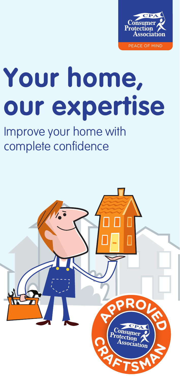

# **Your home, our expertise**

#### Improve your home with complete confidence

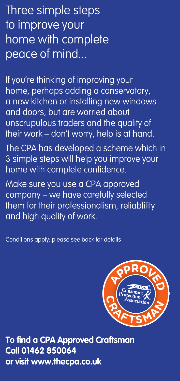Three simple steps to improve your home with complete peace of mind...

If you're thinking of improving your home, perhaps adding a conservatory, a new kitchen or installing new windows and doors, but are worried about unscrupulous traders and the quality of their work – don't worry, help is at hand.

The CPA has developed a scheme which in 3 simple steps will help you improve your home with complete confidence.

Make sure you use a CPA approved company – we have carefully selected them for their professionalism, reliablility and high quality of work.

Conditions apply: please see back for details



**To find a CPA Approved Craftsman Call 01462 850064 or visit www.thecpa.co.uk**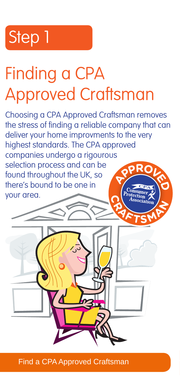#### Step 1 Step 3 Step 3 Step 3 Step 3 Step 3 Step 3 Step 3 Step 3 Step 3 Step 3 Step 3 Step 3 Step 3 Step 3 Step 3 Step 3 Step 3 Step 3 Step 3 Step 3 Step 3 Step 3 Step 3 Step 3 Step 3 Step 3 Step 3 Step 3 Step 3 Step 3 Step

# Finding a CPA Approved Craftsman

Choosing a CPA Approved Craftsman removes the stress of finding a reliable company that can deliver your home improvments to the very highest standards. The CPA approved companies undergo a rigourous selection process and can be found throughout the UK, so there's bound to be one in your area.



**Find a CPA Approved Craftsman**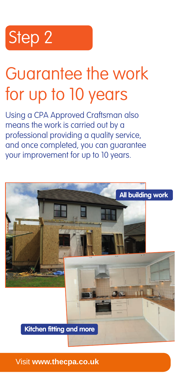### Step 2

### Guarantee the work for up to 10 years

Using a CPA Approved Craftsman also means the work is carried out by a professional providing a quality service, and once completed, you can guarantee your improvement for up to 10 years.



**Visit www.thecpa.co.uk**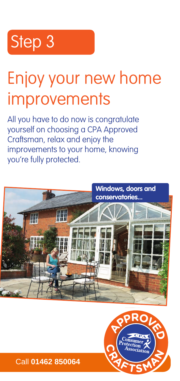#### Step 3 Step 3

# Enjoy your new home Enjoy your new home improvements improvements

All you have to do now is congratulate All you have to do now is congratulate yourself on choosing a CPA Approved yourself on choosing a CPA Approved Craftsman, relax and enjoy the Craftsman, relax and enjoy the improvements to your home, knowing improvements to your home, knowing you're fully protected. you're fully protected.





To find a CPA Approved Craftsman call **01462 850064** or visit **www.thecpa.co.uk** Call **01462 850064** To find a CPA Approved Craftsman call **01462 850064** or visit **www.thecpa.co.uk**